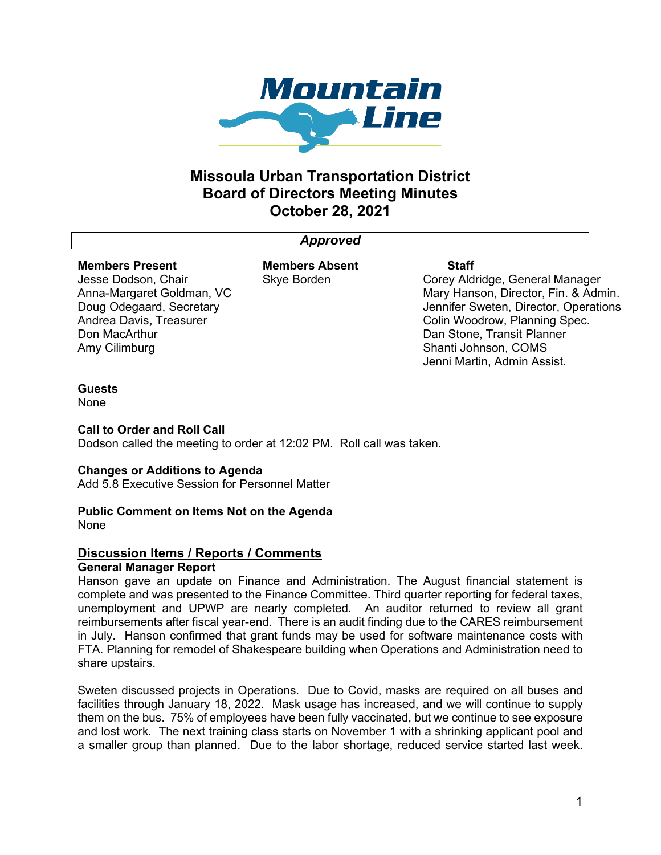

# **Missoula Urban Transportation District Board of Directors Meeting Minutes October 28, 2021**

## *Approved*

### **Members Present**

Jesse Dodson, Chair Anna-Margaret Goldman, VC Doug Odegaard, Secretary Andrea Davis**,** Treasurer Don MacArthur Amy Cilimburg

**Members Absent** Skye Borden

### **Staff**

Corey Aldridge, General Manager Mary Hanson, Director, Fin. & Admin. Jennifer Sweten, Director, Operations Colin Woodrow, Planning Spec. Dan Stone, Transit Planner Shanti Johnson, COMS Jenni Martin, Admin Assist.

## **Guests**

None

## **Call to Order and Roll Call**

Dodson called the meeting to order at 12:02 PM. Roll call was taken.

## **Changes or Additions to Agenda**

Add 5.8 Executive Session for Personnel Matter

## **Public Comment on Items Not on the Agenda**

None

## **Discussion Items / Reports / Comments**

## **General Manager Report**

Hanson gave an update on Finance and Administration. The August financial statement is complete and was presented to the Finance Committee. Third quarter reporting for federal taxes, unemployment and UPWP are nearly completed. An auditor returned to review all grant reimbursements after fiscal year-end. There is an audit finding due to the CARES reimbursement in July. Hanson confirmed that grant funds may be used for software maintenance costs with FTA. Planning for remodel of Shakespeare building when Operations and Administration need to share upstairs.

Sweten discussed projects in Operations. Due to Covid, masks are required on all buses and facilities through January 18, 2022. Mask usage has increased, and we will continue to supply them on the bus. 75% of employees have been fully vaccinated, but we continue to see exposure and lost work. The next training class starts on November 1 with a shrinking applicant pool and a smaller group than planned. Due to the labor shortage, reduced service started last week.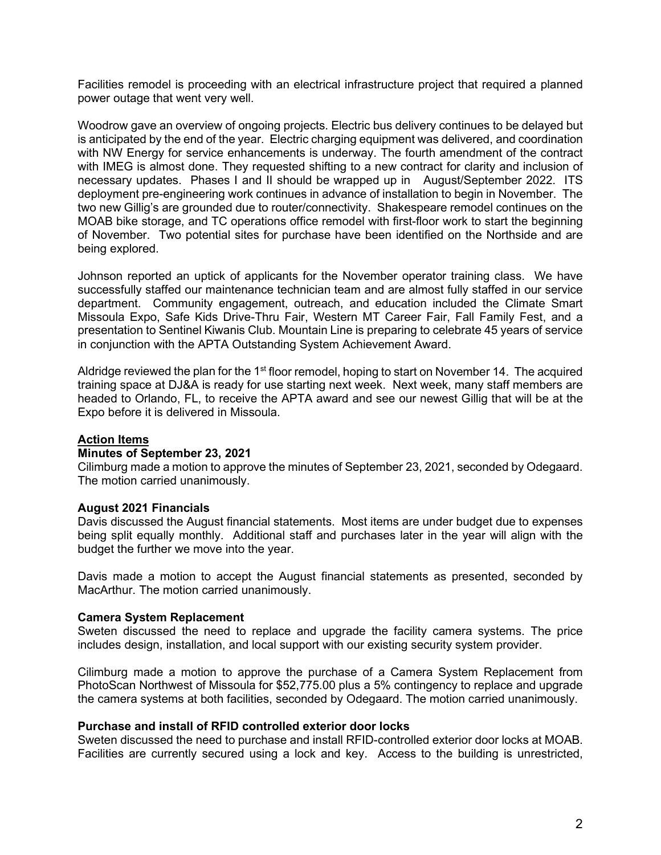Facilities remodel is proceeding with an electrical infrastructure project that required a planned power outage that went very well.

Woodrow gave an overview of ongoing projects. Electric bus delivery continues to be delayed but is anticipated by the end of the year. Electric charging equipment was delivered, and coordination with NW Energy for service enhancements is underway. The fourth amendment of the contract with IMEG is almost done. They requested shifting to a new contract for clarity and inclusion of necessary updates. Phases I and II should be wrapped up in August/September 2022. ITS deployment pre-engineering work continues in advance of installation to begin in November. The two new Gillig's are grounded due to router/connectivity. Shakespeare remodel continues on the MOAB bike storage, and TC operations office remodel with first-floor work to start the beginning of November. Two potential sites for purchase have been identified on the Northside and are being explored.

Johnson reported an uptick of applicants for the November operator training class. We have successfully staffed our maintenance technician team and are almost fully staffed in our service department. Community engagement, outreach, and education included the Climate Smart Missoula Expo, Safe Kids Drive-Thru Fair, Western MT Career Fair, Fall Family Fest, and a presentation to Sentinel Kiwanis Club. Mountain Line is preparing to celebrate 45 years of service in conjunction with the APTA Outstanding System Achievement Award.

Aldridge reviewed the plan for the 1<sup>st</sup> floor remodel, hoping to start on November 14. The acquired training space at DJ&A is ready for use starting next week. Next week, many staff members are headed to Orlando, FL, to receive the APTA award and see our newest Gillig that will be at the Expo before it is delivered in Missoula.

## **Action Items**

#### **Minutes of September 23, 2021**

Cilimburg made a motion to approve the minutes of September 23, 2021, seconded by Odegaard. The motion carried unanimously.

#### **August 2021 Financials**

Davis discussed the August financial statements. Most items are under budget due to expenses being split equally monthly. Additional staff and purchases later in the year will align with the budget the further we move into the year.

Davis made a motion to accept the August financial statements as presented, seconded by MacArthur. The motion carried unanimously.

#### **Camera System Replacement**

Sweten discussed the need to replace and upgrade the facility camera systems. The price includes design, installation, and local support with our existing security system provider.

Cilimburg made a motion to approve the purchase of a Camera System Replacement from PhotoScan Northwest of Missoula for \$52,775.00 plus a 5% contingency to replace and upgrade the camera systems at both facilities, seconded by Odegaard. The motion carried unanimously.

## **Purchase and install of RFID controlled exterior door locks**

Sweten discussed the need to purchase and install RFID-controlled exterior door locks at MOAB. Facilities are currently secured using a lock and key. Access to the building is unrestricted,